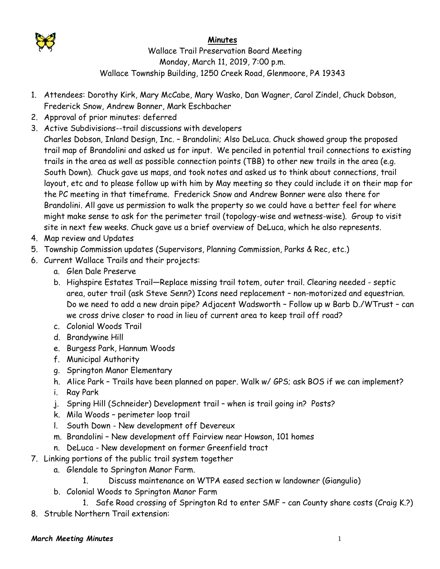

## **Minutes**

 Wallace Trail Preservation Board Meeting Monday, March 11, 2019, 7:00 p.m. Wallace Township Building, 1250 Creek Road, Glenmoore, PA 19343

- 1. Attendees: Dorothy Kirk, Mary McCabe, Mary Wasko, Dan Wagner, Carol Zindel, Chuck Dobson, Frederick Snow, Andrew Bonner, Mark Eschbacher
- 2. Approval of prior minutes: deferred
- 3. Active Subdivisions--trail discussions with developers
- Charles Dobson, Inland Design, Inc. Brandolini; Also DeLuca. Chuck showed group the proposed trail map of Brandolini and asked us for input. We penciled in potential trail connections to existing trails in the area as well as possible connection points (TBB) to other new trails in the area (e.g. South Down). Chuck gave us maps, and took notes and asked us to think about connections, trail layout, etc and to please follow up with him by May meeting so they could include it on their map for the PC meeting in that timeframe. Frederick Snow and Andrew Bonner were also there for Brandolini. All gave us permission to walk the property so we could have a better feel for where might make sense to ask for the perimeter trail (topology-wise and wetness-wise). Group to visit site in next few weeks. Chuck gave us a brief overview of DeLuca, which he also represents.
- 4. Map review and Updates
- 5. Township Commission updates (Supervisors, Planning Commission, Parks & Rec, etc.)
- 6. Current Wallace Trails and their projects:
	- a. Glen Dale Preserve
	- b. Highspire Estates Trail—Replace missing trail totem, outer trail. Clearing needed septic area, outer trail (ask Steve Senn?) Icons need replacement – non-motorized and equestrian. Do we need to add a new drain pipe? Adjacent Wadsworth – Follow up w Barb D./WTrust – can we cross drive closer to road in lieu of current area to keep trail off road?
	- c. Colonial Woods Trail
	- d. Brandywine Hill
	- e. Burgess Park, Hannum Woods
	- f. Municipal Authority
	- g. Springton Manor Elementary
	- h. Alice Park Trails have been planned on paper. Walk w/ GPS; ask BOS if we can implement?
	- i. Ray Park
	- j. Spring Hill (Schneider) Development trail when is trail going in? Posts?
	- k. Mila Woods perimeter loop trail
	- l. South Down New development off Devereux
	- m. Brandolini New development off Fairview near Howson, 101 homes
	- n. DeLuca New development on former Greenfield tract
- 7. Linking portions of the public trail system together
	- a. Glendale to Springton Manor Farm.
		- 1. Discuss maintenance on WTPA eased section w landowner (Giangulio)
	- b. Colonial Woods to Springton Manor Farm
		- 1. Safe Road crossing of Springton Rd to enter SMF can County share costs (Craig K.?)
- 8. Struble Northern Trail extension: